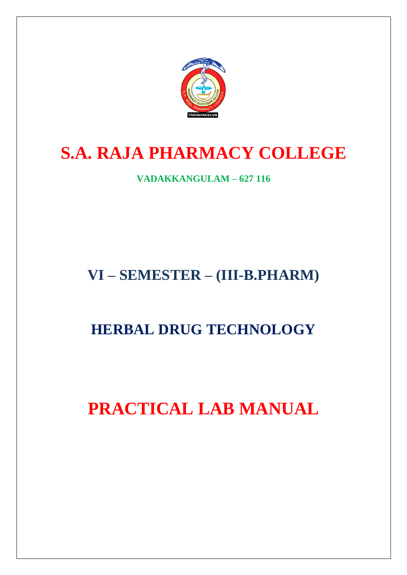

# **S.A. RAJA PHARMACY COLLEGE**

**VADAKKANGULAM – 627 116**

# **VI – SEMESTER – (III-B.PHARM)**

# **HERBAL DRUG TECHNOLOGY**

# **PRACTICAL LAB MANUAL**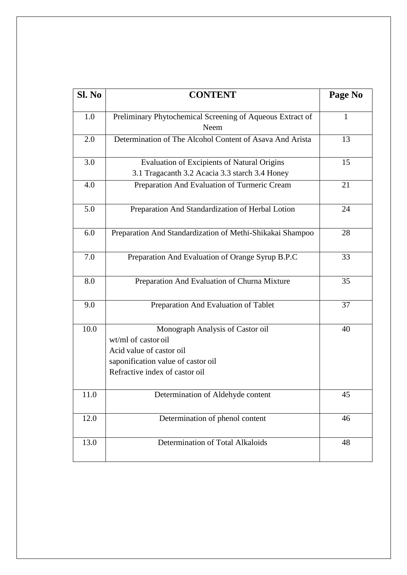| Sl. No | <b>CONTENT</b>                                                                                                                                              | Page No |
|--------|-------------------------------------------------------------------------------------------------------------------------------------------------------------|---------|
| 1.0    | Preliminary Phytochemical Screening of Aqueous Extract of<br>Neem                                                                                           | 1       |
| 2.0    | Determination of The Alcohol Content of Asava And Arista                                                                                                    | 13      |
| 3.0    | <b>Evaluation of Excipients of Natural Origins</b><br>3.1 Tragacanth 3.2 Acacia 3.3 starch 3.4 Honey                                                        | 15      |
| 4.0    | Preparation And Evaluation of Turmeric Cream                                                                                                                | 21      |
| 5.0    | Preparation And Standardization of Herbal Lotion                                                                                                            | 24      |
| 6.0    | Preparation And Standardization of Methi-Shikakai Shampoo                                                                                                   | 28      |
| 7.0    | Preparation And Evaluation of Orange Syrup B.P.C                                                                                                            | 33      |
| 8.0    | Preparation And Evaluation of Churna Mixture                                                                                                                | 35      |
| 9.0    | Preparation And Evaluation of Tablet                                                                                                                        | 37      |
| 10.0   | Monograph Analysis of Castor oil<br>wt/ml of castor oil<br>Acid value of castor oil<br>saponification value of castor oil<br>Refractive index of castor oil | 40      |
| 11.0   | Determination of Aldehyde content                                                                                                                           | 45      |
| 12.0   | Determination of phenol content                                                                                                                             | 46      |
| 13.0   | Determination of Total Alkaloids                                                                                                                            | 48      |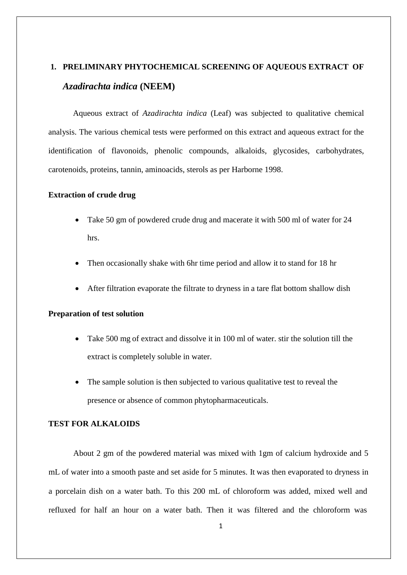# **1. PRELIMINARY PHYTOCHEMICAL SCREENING OF AQUEOUS EXTRACT OF** *Azadirachta indica* **(NEEM)**

Aqueous extract of *Azadirachta indica* (Leaf) was subjected to qualitative chemical analysis. The various chemical tests were performed on this extract and aqueous extract for the identification of flavonoids, phenolic compounds, alkaloids, glycosides, carbohydrates, carotenoids, proteins, tannin, aminoacids, sterols as per Harborne 1998.

### **Extraction of crude drug**

- Take 50 gm of powdered crude drug and macerate it with 500 ml of water for 24 hrs.
- Then occasionally shake with 6hr time period and allow it to stand for 18 hr
- After filtration evaporate the filtrate to dryness in a tare flat bottom shallow dish

## **Preparation of test solution**

- Take 500 mg of extract and dissolve it in 100 ml of water. stir the solution till the extract is completely soluble in water.
- The sample solution is then subjected to various qualitative test to reveal the presence or absence of common phytopharmaceuticals.

# **TEST FOR ALKALOIDS**

About 2 gm of the powdered material was mixed with 1gm of calcium hydroxide and 5 mL of water into a smooth paste and set aside for 5 minutes. It was then evaporated to dryness in a porcelain dish on a water bath. To this 200 mL of chloroform was added, mixed well and refluxed for half an hour on a water bath. Then it was filtered and the chloroform was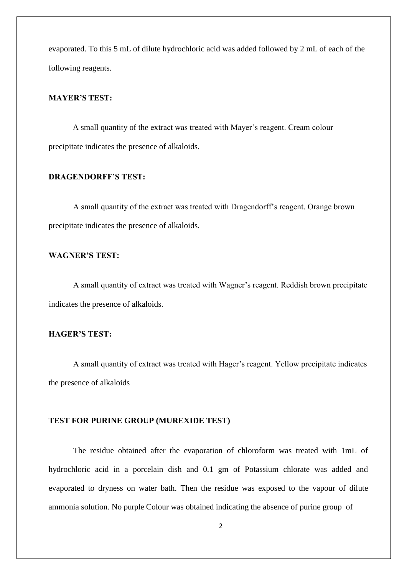evaporated. To this 5 mL of dilute hydrochloric acid was added followed by 2 mL of each of the following reagents.

### **MAYER'S TEST:**

A small quantity of the extract was treated with Mayer's reagent. Cream colour precipitate indicates the presence of alkaloids.

## **DRAGENDORFF'S TEST:**

A small quantity of the extract was treated with Dragendorff's reagent. Orange brown precipitate indicates the presence of alkaloids.

## **WAGNER'S TEST:**

A small quantity of extract was treated with Wagner's reagent. Reddish brown precipitate indicates the presence of alkaloids.

## **HAGER'S TEST:**

A small quantity of extract was treated with Hager's reagent. Yellow precipitate indicates the presence of alkaloids

### **TEST FOR PURINE GROUP (MUREXIDE TEST)**

The residue obtained after the evaporation of chloroform was treated with 1mL of hydrochloric acid in a porcelain dish and 0.1 gm of Potassium chlorate was added and evaporated to dryness on water bath. Then the residue was exposed to the vapour of dilute ammonia solution. No purple Colour was obtained indicating the absence of purine group of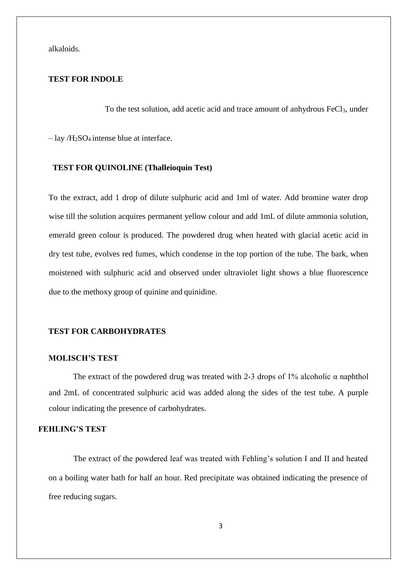alkaloids.

# **TEST FOR INDOLE**

To the test solution, add acetic acid and trace amount of anhydrous FeCl<sub>3</sub>, under

 $-$ lay /H<sub>2</sub>SO<sub>4</sub> intense blue at interface.

### **TEST FOR QUINOLINE (Thalleioquin Test)**

To the extract, add 1 drop of dilute sulphuric acid and 1ml of water. Add bromine water drop wise till the solution acquires permanent yellow colour and add 1mL of dilute ammonia solution, emerald green colour is produced. The powdered drug when heated with glacial acetic acid in dry test tube, evolves red fumes, which condense in the top portion of the tube. The bark, when moistened with sulphuric acid and observed under ultraviolet light shows a blue fluorescence due to the methoxy group of quinine and quinidine.

### **TEST FOR CARBOHYDRATES**

### **MOLISCH'S TEST**

The extract of the powdered drug was treated with 2-3 drops of  $1\%$  alcoholic  $\alpha$  naphthol and 2mL of concentrated sulphuric acid was added along the sides of the test tube. A purple colour indicating the presence of carbohydrates.

### **FEHLING'S TEST**

The extract of the powdered leaf was treated with Fehling's solution I and II and heated on a boiling water bath for half an hour. Red precipitate was obtained indicating the presence of free reducing sugars.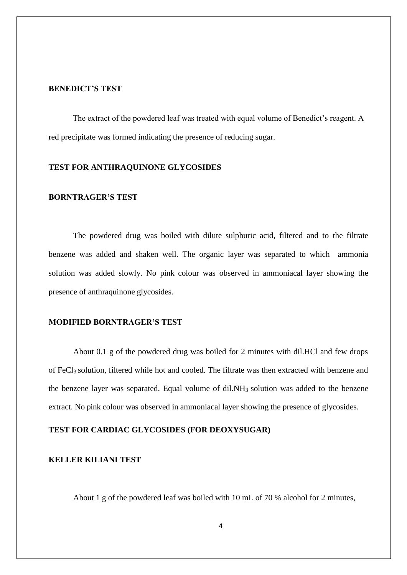### **BENEDICT'S TEST**

The extract of the powdered leaf was treated with equal volume of Benedict's reagent. A red precipitate was formed indicating the presence of reducing sugar.

### **TEST FOR ANTHRAQUINONE GLYCOSIDES**

### **BORNTRAGER'S TEST**

The powdered drug was boiled with dilute sulphuric acid, filtered and to the filtrate benzene was added and shaken well. The organic layer was separated to which ammonia solution was added slowly. No pink colour was observed in ammoniacal layer showing the presence of anthraquinone glycosides.

### **MODIFIED BORNTRAGER'S TEST**

About 0.1 g of the powdered drug was boiled for 2 minutes with dil.HCl and few drops of FeCl3 solution, filtered while hot and cooled. The filtrate was then extracted with benzene and the benzene layer was separated. Equal volume of  $diLNH<sub>3</sub>$  solution was added to the benzene extract. No pink colour was observed in ammoniacal layer showing the presence of glycosides.

## **TEST FOR CARDIAC GLYCOSIDES (FOR DEOXYSUGAR)**

# **KELLER KILIANI TEST**

About 1 g of the powdered leaf was boiled with 10 mL of 70 % alcohol for 2 minutes,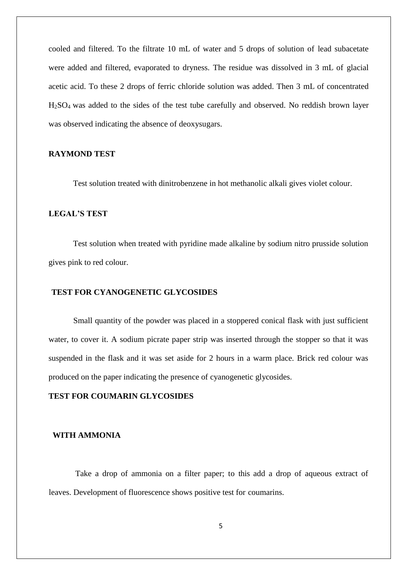cooled and filtered. To the filtrate 10 mL of water and 5 drops of solution of lead subacetate were added and filtered, evaporated to dryness. The residue was dissolved in 3 mL of glacial acetic acid. To these 2 drops of ferric chloride solution was added. Then 3 mL of concentrated H2SO4 was added to the sides of the test tube carefully and observed. No reddish brown layer was observed indicating the absence of deoxysugars.

### **RAYMOND TEST**

Test solution treated with dinitrobenzene in hot methanolic alkali gives violet colour.

### **LEGAL'S TEST**

Test solution when treated with pyridine made alkaline by sodium nitro prusside solution gives pink to red colour.

### **TEST FOR CYANOGENETIC GLYCOSIDES**

Small quantity of the powder was placed in a stoppered conical flask with just sufficient water, to cover it. A sodium picrate paper strip was inserted through the stopper so that it was suspended in the flask and it was set aside for 2 hours in a warm place. Brick red colour was produced on the paper indicating the presence of cyanogenetic glycosides.

### **TEST FOR COUMARIN GLYCOSIDES**

### **WITH AMMONIA**

Take a drop of ammonia on a filter paper; to this add a drop of aqueous extract of leaves. Development of fluorescence shows positive test for coumarins.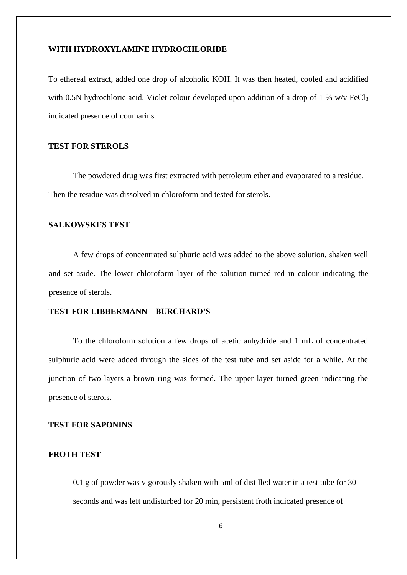### **WITH HYDROXYLAMINE HYDROCHLORIDE**

To ethereal extract, added one drop of alcoholic KOH. It was then heated, cooled and acidified with 0.5N hydrochloric acid. Violet colour developed upon addition of a drop of 1 % w/v FeCl<sub>3</sub> indicated presence of coumarins.

## **TEST FOR STEROLS**

The powdered drug was first extracted with petroleum ether and evaporated to a residue. Then the residue was dissolved in chloroform and tested for sterols.

### **SALKOWSKI'S TEST**

A few drops of concentrated sulphuric acid was added to the above solution, shaken well and set aside. The lower chloroform layer of the solution turned red in colour indicating the presence of sterols.

### **TEST FOR LIBBERMANN – BURCHARD'S**

To the chloroform solution a few drops of acetic anhydride and 1 mL of concentrated sulphuric acid were added through the sides of the test tube and set aside for a while. At the junction of two layers a brown ring was formed. The upper layer turned green indicating the presence of sterols.

### **TEST FOR SAPONINS**

# **FROTH TEST**

0.1 g of powder was vigorously shaken with 5ml of distilled water in a test tube for 30 seconds and was left undisturbed for 20 min, persistent froth indicated presence of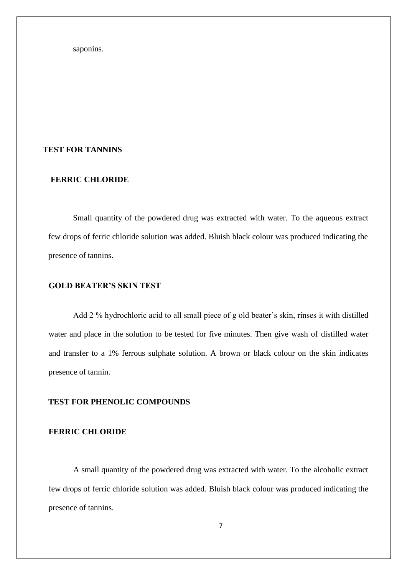saponins.

### **TEST FOR TANNINS**

## **FERRIC CHLORIDE**

Small quantity of the powdered drug was extracted with water. To the aqueous extract few drops of ferric chloride solution was added. Bluish black colour was produced indicating the presence of tannins.

### **GOLD BEATER'S SKIN TEST**

Add 2 % hydrochloric acid to all small piece of g old beater's skin, rinses it with distilled water and place in the solution to be tested for five minutes. Then give wash of distilled water and transfer to a 1% ferrous sulphate solution. A brown or black colour on the skin indicates presence of tannin.

# **TEST FOR PHENOLIC COMPOUNDS**

## **FERRIC CHLORIDE**

A small quantity of the powdered drug was extracted with water. To the alcoholic extract few drops of ferric chloride solution was added. Bluish black colour was produced indicating the presence of tannins.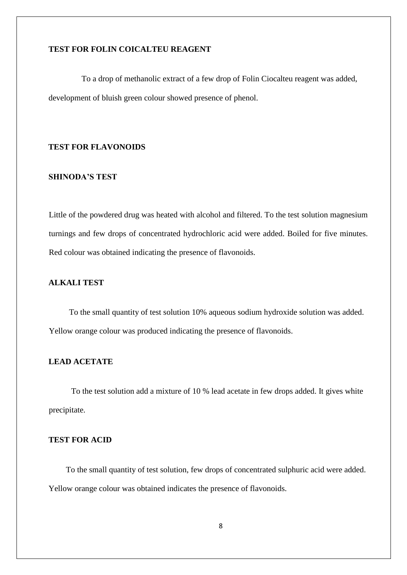# **TEST FOR FOLIN COICALTEU REAGENT**

To a drop of methanolic extract of a few drop of Folin Ciocalteu reagent was added, development of bluish green colour showed presence of phenol.

# **TEST FOR FLAVONOIDS**

### **SHINODA'S TEST**

Little of the powdered drug was heated with alcohol and filtered. To the test solution magnesium turnings and few drops of concentrated hydrochloric acid were added. Boiled for five minutes. Red colour was obtained indicating the presence of flavonoids.

# **ALKALI TEST**

To the small quantity of test solution 10% aqueous sodium hydroxide solution was added. Yellow orange colour was produced indicating the presence of flavonoids.

### **LEAD ACETATE**

To the test solution add a mixture of 10 % lead acetate in few drops added. It gives white precipitate.

# **TEST FOR ACID**

To the small quantity of test solution, few drops of concentrated sulphuric acid were added. Yellow orange colour was obtained indicates the presence of flavonoids.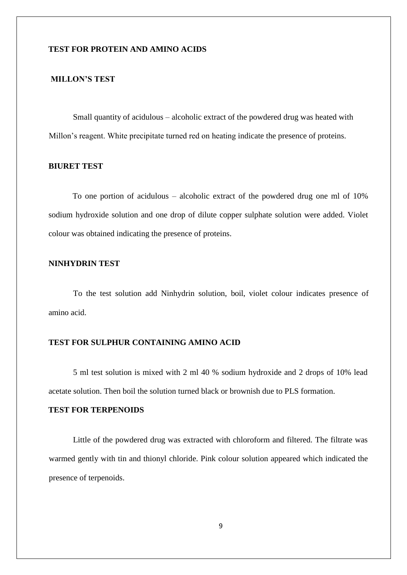## **TEST FOR PROTEIN AND AMINO ACIDS**

## **MILLON'S TEST**

Small quantity of acidulous – alcoholic extract of the powdered drug was heated with Millon's reagent. White precipitate turned red on heating indicate the presence of proteins.

## **BIURET TEST**

To one portion of acidulous – alcoholic extract of the powdered drug one ml of 10% sodium hydroxide solution and one drop of dilute copper sulphate solution were added. Violet colour was obtained indicating the presence of proteins.

## **NINHYDRIN TEST**

To the test solution add Ninhydrin solution, boil, violet colour indicates presence of amino acid.

## **TEST FOR SULPHUR CONTAINING AMINO ACID**

5 ml test solution is mixed with 2 ml 40 % sodium hydroxide and 2 drops of 10% lead acetate solution. Then boil the solution turned black or brownish due to PLS formation.

# **TEST FOR TERPENOIDS**

Little of the powdered drug was extracted with chloroform and filtered. The filtrate was warmed gently with tin and thionyl chloride. Pink colour solution appeared which indicated the presence of terpenoids.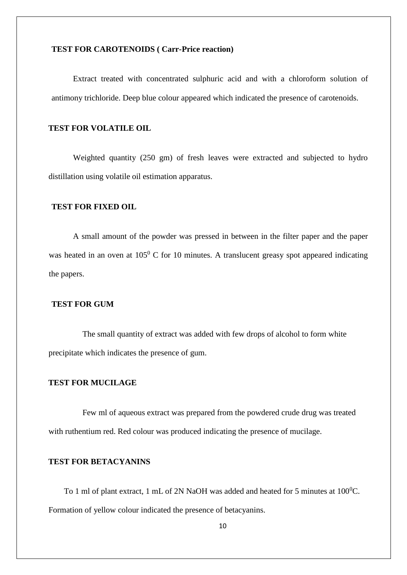## **TEST FOR CAROTENOIDS ( Carr-Price reaction)**

Extract treated with concentrated sulphuric acid and with a chloroform solution of antimony trichloride. Deep blue colour appeared which indicated the presence of carotenoids.

## **TEST FOR VOLATILE OIL**

Weighted quantity (250 gm) of fresh leaves were extracted and subjected to hydro distillation using volatile oil estimation apparatus.

# **TEST FOR FIXED OIL**

A small amount of the powder was pressed in between in the filter paper and the paper was heated in an oven at  $105^{\circ}$  C for 10 minutes. A translucent greasy spot appeared indicating the papers.

## **TEST FOR GUM**

The small quantity of extract was added with few drops of alcohol to form white precipitate which indicates the presence of gum.

### **TEST FOR MUCILAGE**

Few ml of aqueous extract was prepared from the powdered crude drug was treated with ruthentium red. Red colour was produced indicating the presence of mucilage.

# **TEST FOR BETACYANINS**

To 1 ml of plant extract, 1 mL of 2N NaOH was added and heated for 5 minutes at  $100^0$ C. Formation of yellow colour indicated the presence of betacyanins.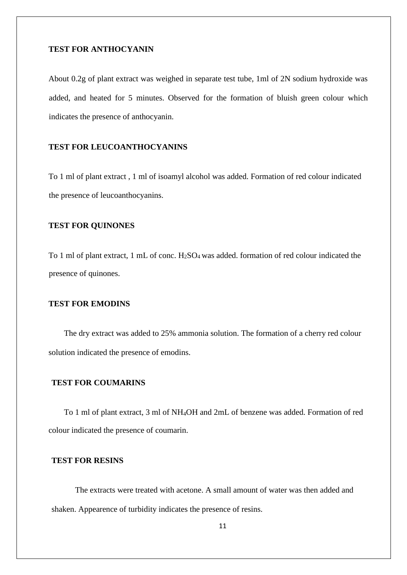# **TEST FOR ANTHOCYANIN**

About 0.2g of plant extract was weighed in separate test tube, 1ml of 2N sodium hydroxide was added, and heated for 5 minutes. Observed for the formation of bluish green colour which indicates the presence of anthocyanin.

# **TEST FOR LEUCOANTHOCYANINS**

To 1 ml of plant extract , 1 ml of isoamyl alcohol was added. Formation of red colour indicated the presence of leucoanthocyanins.

## **TEST FOR QUINONES**

To 1 ml of plant extract, 1 mL of conc. H<sub>2</sub>SO<sub>4</sub> was added. formation of red colour indicated the presence of quinones.

### **TEST FOR EMODINS**

The dry extract was added to 25% ammonia solution. The formation of a cherry red colour solution indicated the presence of emodins.

### **TEST FOR COUMARINS**

To 1 ml of plant extract, 3 ml of NH4OH and 2mL of benzene was added. Formation of red colour indicated the presence of coumarin.

# **TEST FOR RESINS**

The extracts were treated with acetone. A small amount of water was then added and shaken. Appearence of turbidity indicates the presence of resins.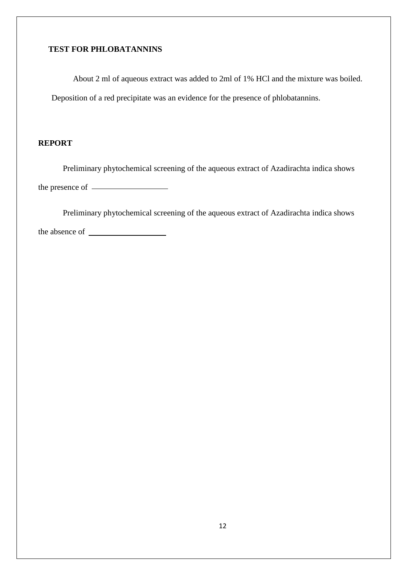# **TEST FOR PHLOBATANNINS**

About 2 ml of aqueous extract was added to 2ml of 1% HCl and the mixture was boiled. Deposition of a red precipitate was an evidence for the presence of phlobatannins.

# **REPORT**

Preliminary phytochemical screening of the aqueous extract of Azadirachta indica shows the presence of

Preliminary phytochemical screening of the aqueous extract of Azadirachta indica shows the absence of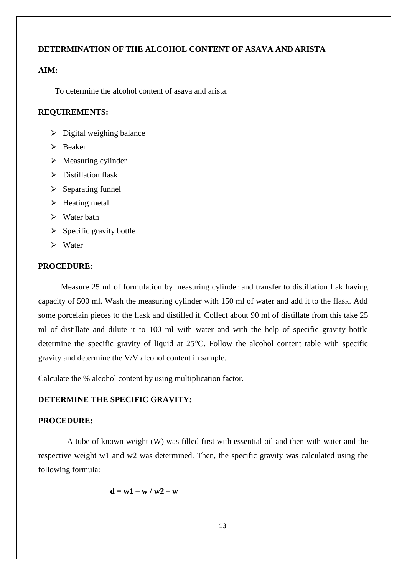## **DETERMINATION OF THE ALCOHOL CONTENT OF ASAVA AND ARISTA**

## **AIM:**

To determine the alcohol content of asava and arista.

### **REQUIREMENTS:**

- $\triangleright$  Digital weighing balance
- $\triangleright$  Beaker
- $\triangleright$  Measuring cylinder
- $\triangleright$  Distillation flask
- $\triangleright$  Separating funnel
- $\triangleright$  Heating metal
- $\triangleright$  Water bath
- $\triangleright$  Specific gravity bottle
- $\triangleright$  Water

### **PROCEDURE:**

Measure 25 ml of formulation by measuring cylinder and transfer to distillation flak having capacity of 500 ml. Wash the measuring cylinder with 150 ml of water and add it to the flask. Add some porcelain pieces to the flask and distilled it. Collect about 90 ml of distillate from this take 25 ml of distillate and dilute it to 100 ml with water and with the help of specific gravity bottle determine the specific gravity of liquid at 25*°*C. Follow the alcohol content table with specific gravity and determine the V/V alcohol content in sample.

Calculate the % alcohol content by using multiplication factor.

# **DETERMINE THE SPECIFIC GRAVITY:**

### **PROCEDURE:**

A tube of known weight (W) was filled first with essential oil and then with water and the respective weight w1 and w2 was determined. Then, the specific gravity was calculated using the following formula:

$$
d=w1-w\mathbin{/} w2-w
$$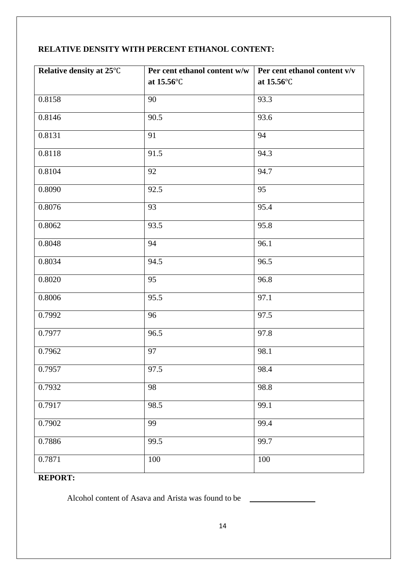# **RELATIVE DENSITY WITH PERCENT ETHANOL CONTENT:**

| Relative density at 25°C | Per cent ethanol content $w/w$ | Per cent ethanol content v/v |
|--------------------------|--------------------------------|------------------------------|
|                          | at 15.56°C                     | at 15.56°C                   |
| 0.8158                   | 90                             | 93.3                         |
| 0.8146                   | 90.5                           | 93.6                         |
| 0.8131                   | 91                             | 94                           |
| 0.8118                   | 91.5                           | 94.3                         |
| 0.8104                   | 92                             | 94.7                         |
| 0.8090                   | 92.5                           | 95                           |
| 0.8076                   | 93                             | 95.4                         |
| 0.8062                   | 93.5                           | 95.8                         |
| 0.8048                   | 94                             | 96.1                         |
| 0.8034                   | 94.5                           | 96.5                         |
| 0.8020                   | 95                             | 96.8                         |
| 0.8006                   | 95.5                           | 97.1                         |
| 0.7992                   | 96                             | 97.5                         |
| 0.7977                   | 96.5                           | 97.8                         |
| 0.7962                   | 97                             | 98.1                         |
| 0.7957                   | 97.5                           | 98.4                         |
| 0.7932                   | 98                             | 98.8                         |
| 0.7917                   | 98.5                           | 99.1                         |
| 0.7902                   | 99                             | 99.4                         |
| 0.7886                   | 99.5                           | 99.7                         |
| 0.7871                   | 100                            | $100\,$                      |

# **REPORT:**

Alcohol content of Asava and Arista was found to be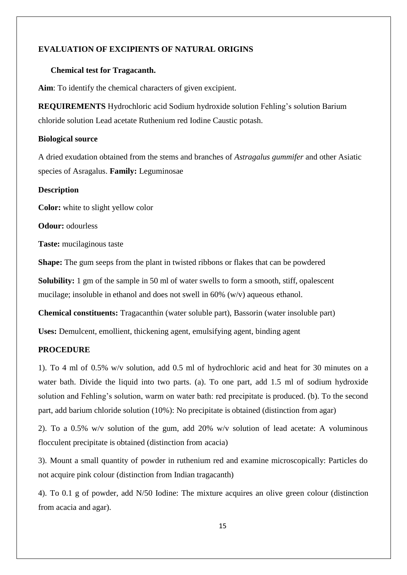# **EVALUATION OF EXCIPIENTS OF NATURAL ORIGINS**

### **Chemical test for Tragacanth.**

**Aim**: To identify the chemical characters of given excipient.

**REQUIREMENTS** Hydrochloric acid Sodium hydroxide solution Fehling's solution Barium chloride solution Lead acetate Ruthenium red Iodine Caustic potash.

### **Biological source**

A dried exudation obtained from the stems and branches of *Astragalus gummifer* and other Asiatic species of Asragalus. **Family:** Leguminosae

### **Description**

**Color:** white to slight yellow color

**Odour:** odourless

**Taste:** mucilaginous taste

**Shape:** The gum seeps from the plant in twisted ribbons or flakes that can be powdered

**Solubility:** 1 gm of the sample in 50 ml of water swells to form a smooth, stiff, opalescent mucilage; insoluble in ethanol and does not swell in 60% (w/v) aqueous ethanol.

**Chemical constituents:** Tragacanthin (water soluble part), Bassorin (water insoluble part)

**Uses:** Demulcent, emollient, thickening agent, emulsifying agent, binding agent

## **PROCEDURE**

1). To 4 ml of 0.5% w/v solution, add 0.5 ml of hydrochloric acid and heat for 30 minutes on a water bath. Divide the liquid into two parts. (a). To one part, add 1.5 ml of sodium hydroxide solution and Fehling's solution, warm on water bath: red precipitate is produced. (b). To the second part, add barium chloride solution (10%): No precipitate is obtained (distinction from agar)

2). To a 0.5% w/v solution of the gum, add 20% w/v solution of lead acetate: A voluminous flocculent precipitate is obtained (distinction from acacia)

3). Mount a small quantity of powder in ruthenium red and examine microscopically: Particles do not acquire pink colour (distinction from Indian tragacanth)

4). To 0.1 g of powder, add N/50 Iodine: The mixture acquires an olive green colour (distinction from acacia and agar).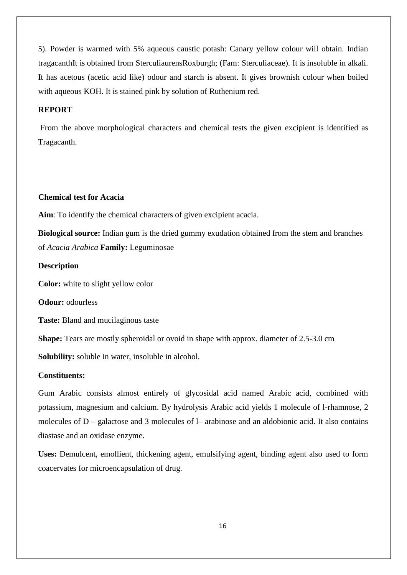5). Powder is warmed with 5% aqueous caustic potash: Canary yellow colour will obtain. Indian tragacanthIt is obtained from SterculiaurensRoxburgh; (Fam: Sterculiaceae). It is insoluble in alkali. It has acetous (acetic acid like) odour and starch is absent. It gives brownish colour when boiled with aqueous KOH. It is stained pink by solution of Ruthenium red.

# **REPORT**

From the above morphological characters and chemical tests the given excipient is identified as Tragacanth.

### **Chemical test for Acacia**

**Aim**: To identify the chemical characters of given excipient acacia.

**Biological source:** Indian gum is the dried gummy exudation obtained from the stem and branches of *Acacia Arabica* **Family:** Leguminosae

## **Description**

**Color:** white to slight yellow color

**Odour:** odourless

**Taste:** Bland and mucilaginous taste

**Shape:** Tears are mostly spheroidal or ovoid in shape with approx. diameter of 2.5-3.0 cm

**Solubility:** soluble in water, insoluble in alcohol.

## **Constituents:**

Gum Arabic consists almost entirely of glycosidal acid named Arabic acid, combined with potassium, magnesium and calcium. By hydrolysis Arabic acid yields 1 molecule of l-rhamnose, 2 molecules of D – galactose and 3 molecules of l– arabinose and an aldobionic acid. It also contains diastase and an oxidase enzyme.

**Uses:** Demulcent, emollient, thickening agent, emulsifying agent, binding agent also used to form coacervates for microencapsulation of drug.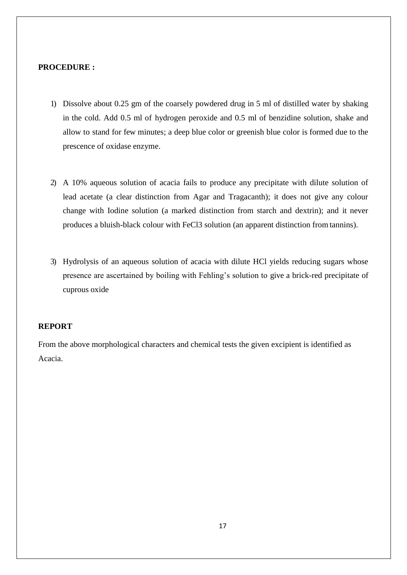### **PROCEDURE :**

- 1) Dissolve about 0.25 gm of the coarsely powdered drug in 5 ml of distilled water by shaking in the cold. Add 0.5 ml of hydrogen peroxide and 0.5 ml of benzidine solution, shake and allow to stand for few minutes; a deep blue color or greenish blue color is formed due to the prescence of oxidase enzyme.
- 2) A 10% aqueous solution of acacia fails to produce any precipitate with dilute solution of lead acetate (a clear distinction from Agar and Tragacanth); it does not give any colour change with Iodine solution (a marked distinction from starch and dextrin); and it never produces a bluish-black colour with FeCl3 solution (an apparent distinction from tannins).
- 3) Hydrolysis of an aqueous solution of acacia with dilute HCl yields reducing sugars whose presence are ascertained by boiling with Fehling's solution to give a brick-red precipitate of cuprous oxide

### **REPORT**

From the above morphological characters and chemical tests the given excipient is identified as Acacia.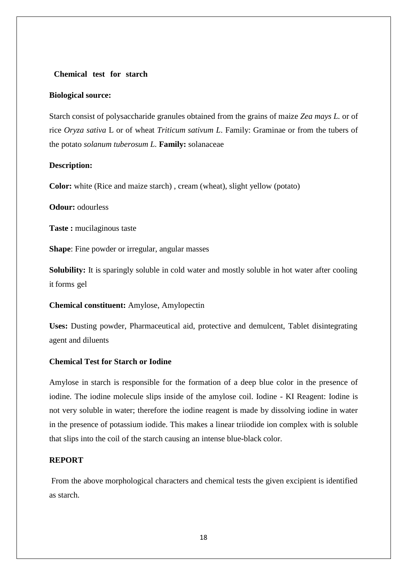### **Chemical test for starch**

### **Biological source:**

Starch consist of polysaccharide granules obtained from the grains of maize *Zea mays L.* or of rice *Oryza sativa* L or of wheat *Triticum sativum L*. Family: Graminae or from the tubers of the potato *solanum tuberosum L.* **Family:** solanaceae

### **Description:**

**Color:** white (Rice and maize starch) , cream (wheat), slight yellow (potato)

# **Odour:** odourless

**Taste :** mucilaginous taste

**Shape**: Fine powder or irregular, angular masses

**Solubility:** It is sparingly soluble in cold water and mostly soluble in hot water after cooling it forms gel

### **Chemical constituent:** Amylose, Amylopectin

**Uses:** Dusting powder, Pharmaceutical aid, protective and demulcent, Tablet disintegrating agent and diluents

### **Chemical Test for Starch or Iodine**

Amylose in starch is responsible for the formation of a deep blue color in the presence of iodine. The iodine molecule slips inside of the amylose coil. Iodine - KI Reagent: Iodine is not very soluble in water; therefore the iodine reagent is made by dissolving iodine in water in the presence of potassium iodide. This makes a linear triiodide ion complex with is soluble that slips into the coil of the starch causing an intense blue-black color.

### **REPORT**

From the above morphological characters and chemical tests the given excipient is identified as starch.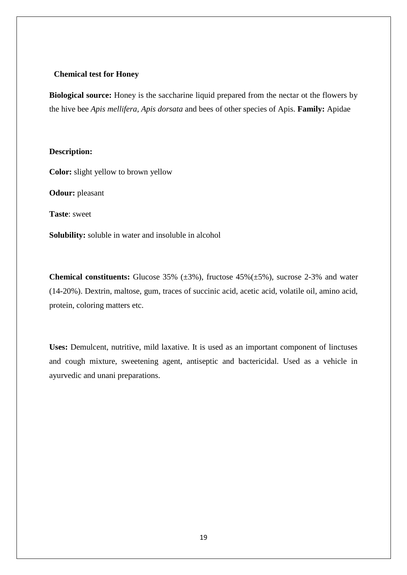### **Chemical test for Honey**

**Biological source:** Honey is the saccharine liquid prepared from the nectar ot the flowers by the hive bee *Apis mellifera, Apis dorsata* and bees of other species of Apis. **Family:** Apidae

### **Description:**

**Color:** slight yellow to brown yellow

**Odour:** pleasant

**Taste**: sweet

**Solubility:** soluble in water and insoluble in alcohol

**Chemical constituents:** Glucose 35% (±3%), fructose 45%(±5%), sucrose 2-3% and water (14-20%). Dextrin, maltose, gum, traces of succinic acid, acetic acid, volatile oil, amino acid, protein, coloring matters etc.

**Uses:** Demulcent, nutritive, mild laxative. It is used as an important component of linctuses and cough mixture, sweetening agent, antiseptic and bactericidal. Used as a vehicle in ayurvedic and unani preparations.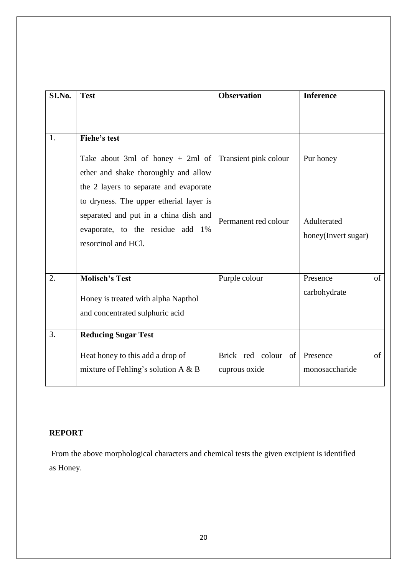| SI.No. | <b>Test</b>                                                                                                                                                                                                                                                         | <b>Observation</b>                            | <b>Inference</b>                                |
|--------|---------------------------------------------------------------------------------------------------------------------------------------------------------------------------------------------------------------------------------------------------------------------|-----------------------------------------------|-------------------------------------------------|
|        |                                                                                                                                                                                                                                                                     |                                               |                                                 |
| 1.     | <b>Fiehe's test</b>                                                                                                                                                                                                                                                 |                                               |                                                 |
|        | Take about 3ml of honey $+$ 2ml of<br>ether and shake thoroughly and allow<br>the 2 layers to separate and evaporate<br>to dryness. The upper etherial layer is<br>separated and put in a china dish and<br>evaporate, to the residue add 1%<br>resorcinol and HCl. | Transient pink colour<br>Permanent red colour | Pur honey<br>Adulterated<br>honey(Invert sugar) |
| 2.     | <b>Molisch's Test</b>                                                                                                                                                                                                                                               | Purple colour                                 | of<br>Presence<br>carbohydrate                  |
|        | Honey is treated with alpha Napthol<br>and concentrated sulphuric acid                                                                                                                                                                                              |                                               |                                                 |
| 3.     | <b>Reducing Sugar Test</b>                                                                                                                                                                                                                                          |                                               |                                                 |
|        | Heat honey to this add a drop of<br>mixture of Fehling's solution $A \& B$                                                                                                                                                                                          | Brick red colour of<br>cuprous oxide          | of<br>Presence<br>monosaccharide                |

# **REPORT**

From the above morphological characters and chemical tests the given excipient is identified as Honey.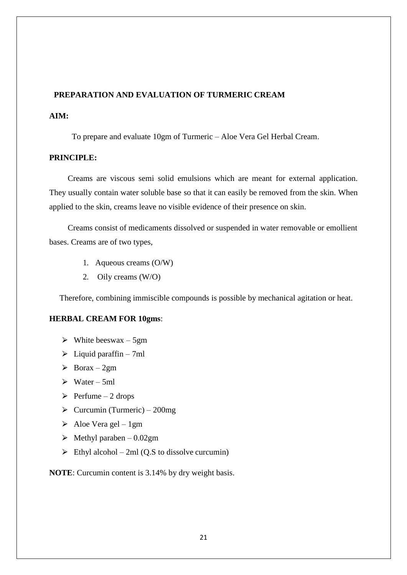# **PREPARATION AND EVALUATION OF TURMERIC CREAM**

# **AIM:**

To prepare and evaluate 10gm of Turmeric – Aloe Vera Gel Herbal Cream.

### **PRINCIPLE:**

Creams are viscous semi solid emulsions which are meant for external application. They usually contain water soluble base so that it can easily be removed from the skin. When applied to the skin, creams leave no visible evidence of their presence on skin.

Creams consist of medicaments dissolved or suspended in water removable or emollient bases. Creams are of two types,

- 1. Aqueous creams (O/W)
- 2. Oily creams (W/O)

Therefore, combining immiscible compounds is possible by mechanical agitation or heat.

### **HERBAL CREAM FOR 10gms**:

- $\triangleright$  White beeswax 5gm
- $\triangleright$  Liquid paraffin 7ml
- $\triangleright$  Borax 2gm
- $\triangleright$  Water 5ml
- $\triangleright$  Perfume 2 drops
- $\triangleright$  Curcumin (Turmeric) 200mg
- $\triangleright$  Aloe Vera gel 1gm
- $\blacktriangleright$  Methyl paraben 0.02gm
- $\triangleright$  Ethyl alcohol 2ml (Q.S to dissolve curcumin)

**NOTE**: Curcumin content is 3.14% by dry weight basis.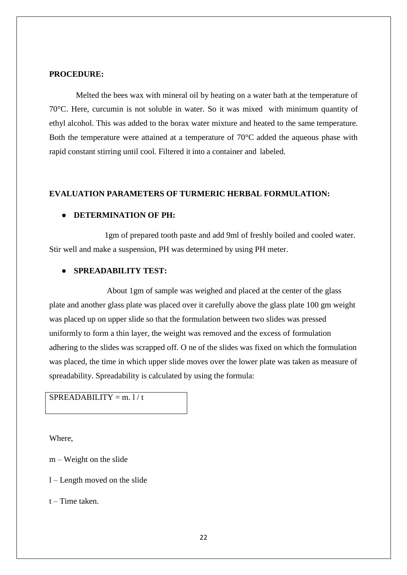### **PROCEDURE:**

Melted the bees wax with mineral oil by heating on a water bath at the temperature of 70°C. Here, curcumin is not soluble in water. So it was mixed with minimum quantity of ethyl alcohol. This was added to the borax water mixture and heated to the same temperature. Both the temperature were attained at a temperature of 70°C added the aqueous phase with rapid constant stirring until cool. Filtered it into a container and labeled.

### **EVALUATION PARAMETERS OF TURMERIC HERBAL FORMULATION:**

### ● **DETERMINATION OF PH:**

1gm of prepared tooth paste and add 9ml of freshly boiled and cooled water. Stir well and make a suspension, PH was determined by using PH meter.

### ● **SPREADABILITY TEST:**

About 1gm of sample was weighed and placed at the center of the glass plate and another glass plate was placed over it carefully above the glass plate 100 gm weight was placed up on upper slide so that the formulation between two slides was pressed uniformly to form a thin layer, the weight was removed and the excess of formulation adhering to the slides was scrapped off. O ne of the slides was fixed on which the formulation was placed, the time in which upper slide moves over the lower plate was taken as measure of spreadability. Spreadability is calculated by using the formula:

# $SPREADABILITY = m.1/t$

Where,

m – Weight on the slide

l – Length moved on the slide

t – Time taken.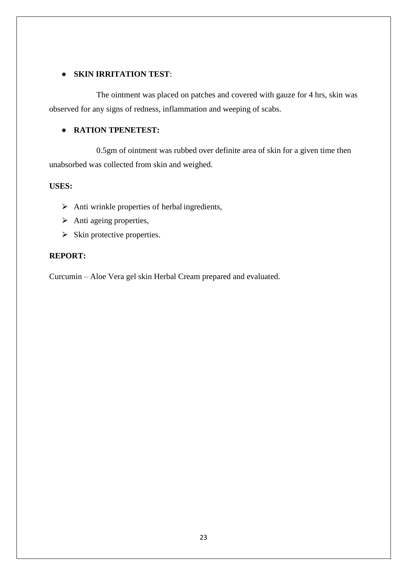# ● **SKIN IRRITATION TEST**:

The ointment was placed on patches and covered with gauze for 4 hrs, skin was observed for any signs of redness, inflammation and weeping of scabs.

# ● **RATION TPENETEST:**

0.5gm of ointment was rubbed over definite area of skin for a given time then unabsorbed was collected from skin and weighed.

# **USES:**

- $\triangleright$  Anti wrinkle properties of herbal ingredients,
- $\triangleright$  Anti ageing properties,
- $\triangleright$  Skin protective properties.

# **REPORT:**

Curcumin – Aloe Vera gel skin Herbal Cream prepared and evaluated.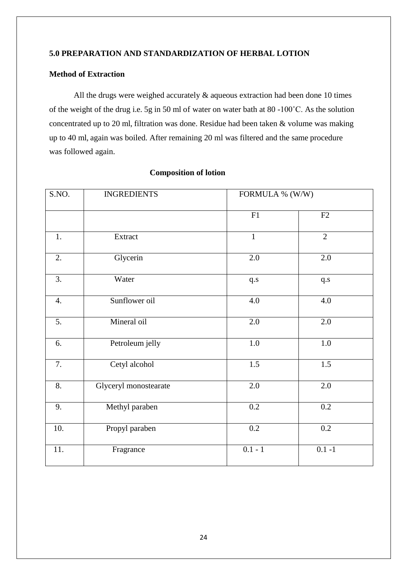# **5.0 PREPARATION AND STANDARDIZATION OF HERBAL LOTION**

# **Method of Extraction**

All the drugs were weighed accurately  $\&$  aqueous extraction had been done 10 times of the weight of the drug i.e. 5g in 50 ml of water on water bath at 80 -100˚C. As the solution concentrated up to 20 ml, filtration was done. Residue had been taken & volume was making up to 40 ml, again was boiled. After remaining 20 ml was filtered and the same procedure was followed again.

| S.NO.            | <b>INGREDIENTS</b>    |                  | FORMULA % (W/W)  |  |
|------------------|-----------------------|------------------|------------------|--|
|                  |                       | F1               | F2               |  |
| 1.               | Extract               | $\mathbf{1}$     | $\overline{2}$   |  |
| 2.               | Glycerin              | 2.0              | $2.0\,$          |  |
| $\overline{3}$ . | Water                 | q.s              | q.s              |  |
| 4.               | Sunflower oil         | 4.0              | 4.0              |  |
| 5.               | Mineral oil           | $\overline{2.0}$ | 2.0              |  |
| 6.               | Petroleum jelly       | $1.0\,$          | $1.0\,$          |  |
| 7.               | Cetyl alcohol         | $1.5\,$          | 1.5              |  |
| 8.               | Glyceryl monostearate | $\overline{2.0}$ | $\overline{2.0}$ |  |
| 9.               | Methyl paraben        | 0.2              | $\overline{0.2}$ |  |
| 10.              | Propyl paraben        | 0.2              | 0.2              |  |
| 11.              | Fragrance             | $0.1 - 1$        | $0.1 - 1$        |  |

### **Composition of lotion**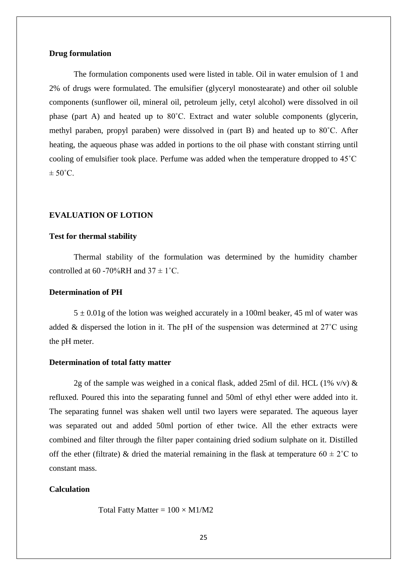### **Drug formulation**

The formulation components used were listed in table. Oil in water emulsion of 1 and 2% of drugs were formulated. The emulsifier (glyceryl monostearate) and other oil soluble components (sunflower oil, mineral oil, petroleum jelly, cetyl alcohol) were dissolved in oil phase (part A) and heated up to 80˚C. Extract and water soluble components (glycerin, methyl paraben, propyl paraben) were dissolved in (part B) and heated up to 80˚C. After heating, the aqueous phase was added in portions to the oil phase with constant stirring until cooling of emulsifier took place. Perfume was added when the temperature dropped to 45˚C  $\pm$  50 $^{\circ}$ C.

### **EVALUATION OF LOTION**

### **Test for thermal stability**

Thermal stability of the formulation was determined by the humidity chamber controlled at 60 -70%RH and  $37 \pm 1^{\circ}$ C.

### **Determination of PH**

 $5 \pm 0.01$ g of the lotion was weighed accurately in a 100ml beaker, 45 ml of water was added & dispersed the lotion in it. The pH of the suspension was determined at 27˚C using the pH meter.

### **Determination of total fatty matter**

2g of the sample was weighed in a conical flask, added 25ml of dil. HCL (1% v/v)  $\&$ refluxed. Poured this into the separating funnel and 50ml of ethyl ether were added into it. The separating funnel was shaken well until two layers were separated. The aqueous layer was separated out and added 50ml portion of ether twice. All the ether extracts were combined and filter through the filter paper containing dried sodium sulphate on it. Distilled off the ether (filtrate) & dried the material remaining in the flask at temperature  $60 \pm 2^{\circ}$ C to constant mass.

### **Calculation**

Total Fatty Matter =  $100 \times M1/M2$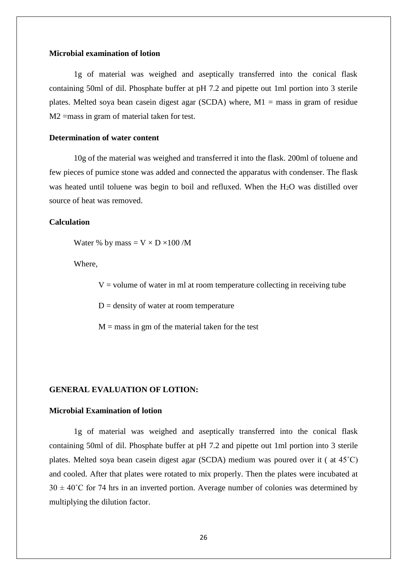### **Microbial examination of lotion**

1g of material was weighed and aseptically transferred into the conical flask containing 50ml of dil. Phosphate buffer at pH 7.2 and pipette out 1ml portion into 3 sterile plates. Melted soya bean casein digest agar (SCDA) where,  $M1 =$  mass in gram of residue M2 =mass in gram of material taken for test.

### **Determination of water content**

10g of the material was weighed and transferred it into the flask. 200ml of toluene and few pieces of pumice stone was added and connected the apparatus with condenser. The flask was heated until toluene was begin to boil and refluxed. When the H2O was distilled over source of heat was removed.

### **Calculation**

Water % by mass =  $V \times D \times 100$  /M

Where,

 $V =$  volume of water in ml at room temperature collecting in receiving tube

 $D =$  density of water at room temperature

 $M =$  mass in gm of the material taken for the test

### **GENERAL EVALUATION OF LOTION:**

### **Microbial Examination of lotion**

1g of material was weighed and aseptically transferred into the conical flask containing 50ml of dil. Phosphate buffer at pH 7.2 and pipette out 1ml portion into 3 sterile plates. Melted soya bean casein digest agar (SCDA) medium was poured over it ( at 45˚C) and cooled. After that plates were rotated to mix properly. Then the plates were incubated at  $30 \pm 40^{\circ}$ C for 74 hrs in an inverted portion. Average number of colonies was determined by multiplying the dilution factor.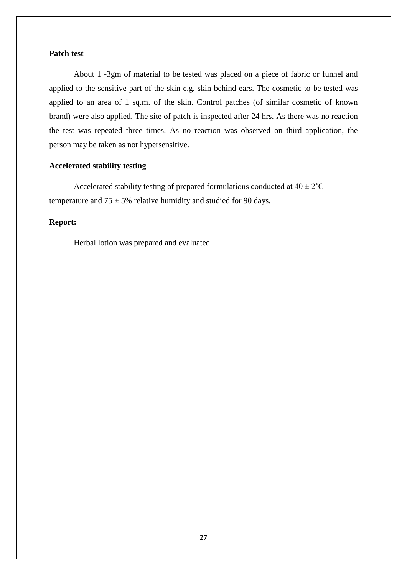## **Patch test**

About 1 -3gm of material to be tested was placed on a piece of fabric or funnel and applied to the sensitive part of the skin e.g. skin behind ears. The cosmetic to be tested was applied to an area of 1 sq.m. of the skin. Control patches (of similar cosmetic of known brand) were also applied. The site of patch is inspected after 24 hrs. As there was no reaction the test was repeated three times. As no reaction was observed on third application, the person may be taken as not hypersensitive.

# **Accelerated stability testing**

Accelerated stability testing of prepared formulations conducted at  $40 \pm 2^{\circ}$ C temperature and  $75 \pm 5\%$  relative humidity and studied for 90 days.

## **Report:**

Herbal lotion was prepared and evaluated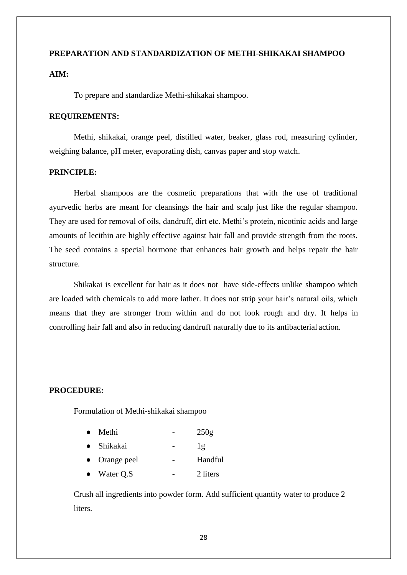# **PREPARATION AND STANDARDIZATION OF METHI-SHIKAKAI SHAMPOO**

# **AIM:**

To prepare and standardize Methi-shikakai shampoo.

### **REQUIREMENTS:**

Methi, shikakai, orange peel, distilled water, beaker, glass rod, measuring cylinder, weighing balance, pH meter, evaporating dish, canvas paper and stop watch.

## **PRINCIPLE:**

Herbal shampoos are the cosmetic preparations that with the use of traditional ayurvedic herbs are meant for cleansings the hair and scalp just like the regular shampoo. They are used for removal of oils, dandruff, dirt etc. Methi's protein, nicotinic acids and large amounts of lecithin are highly effective against hair fall and provide strength from the roots. The seed contains a special hormone that enhances hair growth and helps repair the hair structure.

Shikakai is excellent for hair as it does not have side-effects unlike shampoo which are loaded with chemicals to add more lather. It does not strip your hair's natural oils, which means that they are stronger from within and do not look rough and dry. It helps in controlling hair fall and also in reducing dandruff naturally due to its antibacterial action.

### **PROCEDURE:**

Formulation of Methi-shikakai shampoo

- Methi  $-250g$
- Shikakai 1g
- Orange peel Handful
- Water Q.S 2 liters

Crush all ingredients into powder form. Add sufficient quantity water to produce 2 liters.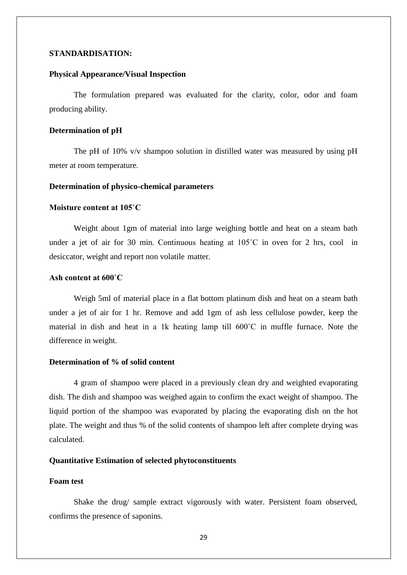### **STANDARDISATION:**

### **Physical Appearance/Visual Inspection**

The formulation prepared was evaluated for the clarity, color, odor and foam producing ability.

### **Determination of pH**

The pH of 10% v/v shampoo solution in distilled water was measured by using pH meter at room temperature.

#### **Determination of physico-chemical parameters**

### **Moisture content at 105˚C**

Weight about 1gm of material into large weighing bottle and heat on a steam bath under a jet of air for 30 min. Continuous heating at 105˚C in oven for 2 hrs, cool in desiccator, weight and report non volatile matter.

### **Ash content at 600˚C**

Weigh 5ml of material place in a flat bottom platinum dish and heat on a steam bath under a jet of air for 1 hr. Remove and add 1gm of ash less cellulose powder, keep the material in dish and heat in a 1k heating lamp till 600˚C in muffle furnace. Note the difference in weight.

### **Determination of % of solid content**

4 gram of shampoo were placed in a previously clean dry and weighted evaporating dish. The dish and shampoo was weighed again to confirm the exact weight of shampoo. The liquid portion of the shampoo was evaporated by placing the evaporating dish on the hot plate. The weight and thus % of the solid contents of shampoo left after complete drying was calculated.

# **Quantitative Estimation of selected phytoconstituents**

### **Foam test**

Shake the drug/ sample extract vigorously with water. Persistent foam observed, confirms the presence of saponins.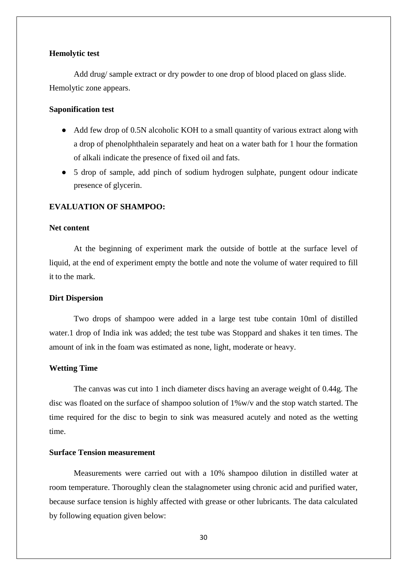### **Hemolytic test**

Add drug/ sample extract or dry powder to one drop of blood placed on glass slide. Hemolytic zone appears.

## **Saponification test**

- Add few drop of 0.5N alcoholic KOH to a small quantity of various extract along with a drop of phenolphthalein separately and heat on a water bath for 1 hour the formation of alkali indicate the presence of fixed oil and fats.
- 5 drop of sample, add pinch of sodium hydrogen sulphate, pungent odour indicate presence of glycerin.

### **EVALUATION OF SHAMPOO:**

### **Net content**

At the beginning of experiment mark the outside of bottle at the surface level of liquid, at the end of experiment empty the bottle and note the volume of water required to fill it to the mark.

#### **Dirt Dispersion**

Two drops of shampoo were added in a large test tube contain 10ml of distilled water.1 drop of India ink was added; the test tube was Stoppard and shakes it ten times. The amount of ink in the foam was estimated as none, light, moderate or heavy.

### **Wetting Time**

The canvas was cut into 1 inch diameter discs having an average weight of 0.44g. The disc was floated on the surface of shampoo solution of 1%w/v and the stop watch started. The time required for the disc to begin to sink was measured acutely and noted as the wetting time.

### **Surface Tension measurement**

Measurements were carried out with a 10% shampoo dilution in distilled water at room temperature. Thoroughly clean the stalagnometer using chronic acid and purified water, because surface tension is highly affected with grease or other lubricants. The data calculated by following equation given below: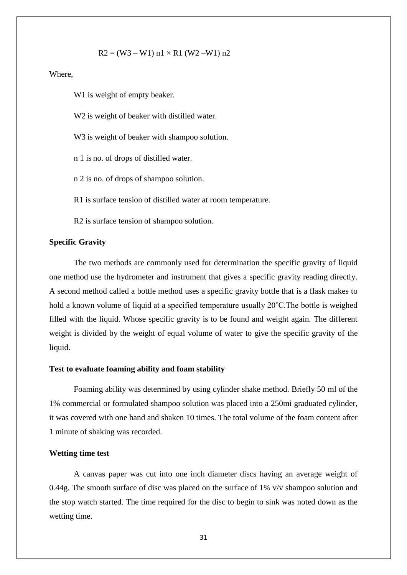$$
R2 = (W3 - W1) n1 \times R1 (W2 - W1) n2
$$

Where,

W1 is weight of empty beaker.

W2 is weight of beaker with distilled water.

W<sub>3</sub> is weight of beaker with shampoo solution.

n 1 is no. of drops of distilled water.

n 2 is no. of drops of shampoo solution.

R1 is surface tension of distilled water at room temperature.

R2 is surface tension of shampoo solution.

### **Specific Gravity**

The two methods are commonly used for determination the specific gravity of liquid one method use the hydrometer and instrument that gives a specific gravity reading directly. A second method called a bottle method uses a specific gravity bottle that is a flask makes to hold a known volume of liquid at a specified temperature usually 20˚C.The bottle is weighed filled with the liquid. Whose specific gravity is to be found and weight again. The different weight is divided by the weight of equal volume of water to give the specific gravity of the liquid.

### **Test to evaluate foaming ability and foam stability**

Foaming ability was determined by using cylinder shake method. Briefly 50 ml of the 1% commercial or formulated shampoo solution was placed into a 250mi graduated cylinder, it was covered with one hand and shaken 10 times. The total volume of the foam content after 1 minute of shaking was recorded.

### **Wetting time test**

A canvas paper was cut into one inch diameter discs having an average weight of 0.44g. The smooth surface of disc was placed on the surface of 1% v/v shampoo solution and the stop watch started. The time required for the disc to begin to sink was noted down as the wetting time.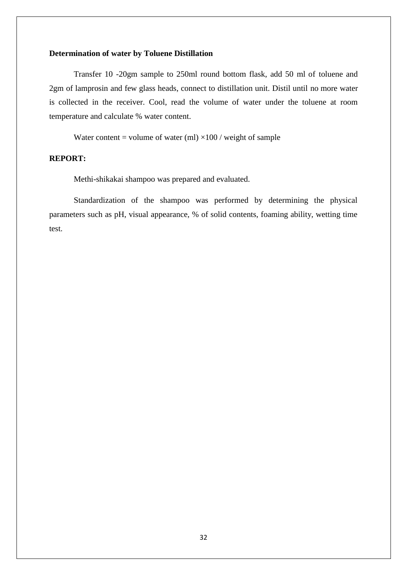## **Determination of water by Toluene Distillation**

Transfer 10 -20gm sample to 250ml round bottom flask, add 50 ml of toluene and 2gm of lamprosin and few glass heads, connect to distillation unit. Distil until no more water is collected in the receiver. Cool, read the volume of water under the toluene at room temperature and calculate % water content.

Water content = volume of water (ml)  $\times$ 100 / weight of sample

### **REPORT:**

Methi-shikakai shampoo was prepared and evaluated.

Standardization of the shampoo was performed by determining the physical parameters such as pH, visual appearance, % of solid contents, foaming ability, wetting time test.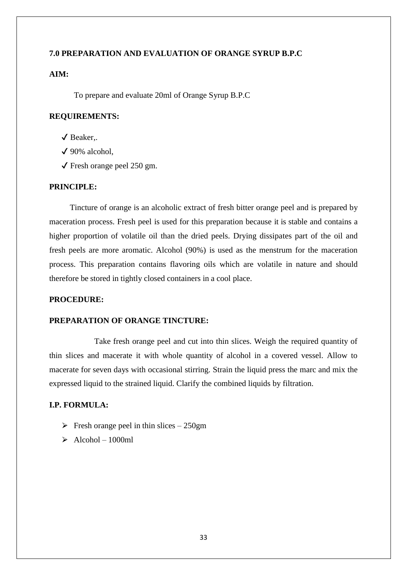## **7.0 PREPARATION AND EVALUATION OF ORANGE SYRUP B.P.C**

# **AIM:**

To prepare and evaluate 20ml of Orange Syrup B.P.C

# **REQUIREMENTS:**

- ✔ Beaker,.
- $\sqrt{90\%}$  alcohol.
- $\checkmark$  Fresh orange peel 250 gm.

### **PRINCIPLE:**

Tincture of orange is an alcoholic extract of fresh bitter orange peel and is prepared by maceration process. Fresh peel is used for this preparation because it is stable and contains a higher proportion of volatile oil than the dried peels. Drying dissipates part of the oil and fresh peels are more aromatic. Alcohol (90%) is used as the menstrum for the maceration process. This preparation contains flavoring oils which are volatile in nature and should therefore be stored in tightly closed containers in a cool place.

### **PROCEDURE:**

### **PREPARATION OF ORANGE TINCTURE:**

Take fresh orange peel and cut into thin slices. Weigh the required quantity of thin slices and macerate it with whole quantity of alcohol in a covered vessel. Allow to macerate for seven days with occasional stirring. Strain the liquid press the marc and mix the expressed liquid to the strained liquid. Clarify the combined liquids by filtration.

## **I.P. FORMULA:**

- $\triangleright$  Fresh orange peel in thin slices 250gm
- $\geq$  Alcohol 1000ml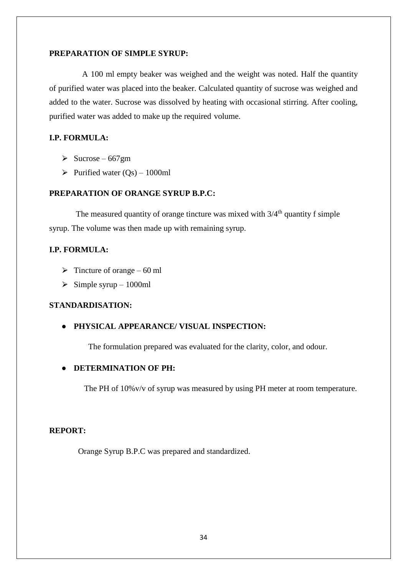### **PREPARATION OF SIMPLE SYRUP:**

A 100 ml empty beaker was weighed and the weight was noted. Half the quantity of purified water was placed into the beaker. Calculated quantity of sucrose was weighed and added to the water. Sucrose was dissolved by heating with occasional stirring. After cooling, purified water was added to make up the required volume.

# **I.P. FORMULA:**

- $\geq$  Sucrose 667gm
- $\triangleright$  Purified water (Qs) 1000ml

# **PREPARATION OF ORANGE SYRUP B.P.C:**

The measured quantity of orange tincture was mixed with  $3/4<sup>th</sup>$  quantity f simple syrup. The volume was then made up with remaining syrup.

### **I.P. FORMULA:**

- $\triangleright$  Tincture of orange 60 ml
- $\triangleright$  Simple syrup 1000ml

# **STANDARDISATION:**

## ● **PHYSICAL APPEARANCE/ VISUAL INSPECTION:**

The formulation prepared was evaluated for the clarity, color, and odour.

### ● **DETERMINATION OF PH:**

The PH of 10%v/v of syrup was measured by using PH meter at room temperature.

## **REPORT:**

Orange Syrup B.P.C was prepared and standardized.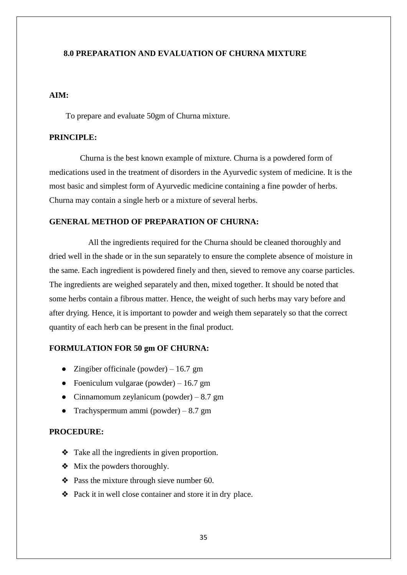## **8.0 PREPARATION AND EVALUATION OF CHURNA MIXTURE**

# **AIM:**

To prepare and evaluate 50gm of Churna mixture.

### **PRINCIPLE:**

Churna is the best known example of mixture. Churna is a powdered form of medications used in the treatment of disorders in the Ayurvedic system of medicine. It is the most basic and simplest form of Ayurvedic medicine containing a fine powder of herbs. Churna may contain a single herb or a mixture of several herbs.

## **GENERAL METHOD OF PREPARATION OF CHURNA:**

All the ingredients required for the Churna should be cleaned thoroughly and dried well in the shade or in the sun separately to ensure the complete absence of moisture in the same. Each ingredient is powdered finely and then, sieved to remove any coarse particles. The ingredients are weighed separately and then, mixed together. It should be noted that some herbs contain a fibrous matter. Hence, the weight of such herbs may vary before and after drying. Hence, it is important to powder and weigh them separately so that the correct quantity of each herb can be present in the final product.

### **FORMULATION FOR 50 gm OF CHURNA:**

- Zingiber officinale (powder) 16.7 gm
- Foeniculum vulgarae (powder) 16.7 gm
- Cinnamomum zeylanicum (powder)  $8.7 \text{ gm}$
- Trachyspermum ammi (powder)  $-8.7$  gm

## **PROCEDURE:**

- ❖ Take all the ingredients in given proportion.
- ❖ Mix the powders thoroughly.
- ❖ Pass the mixture through sieve number 60.
- ❖ Pack it in well close container and store it in dry place.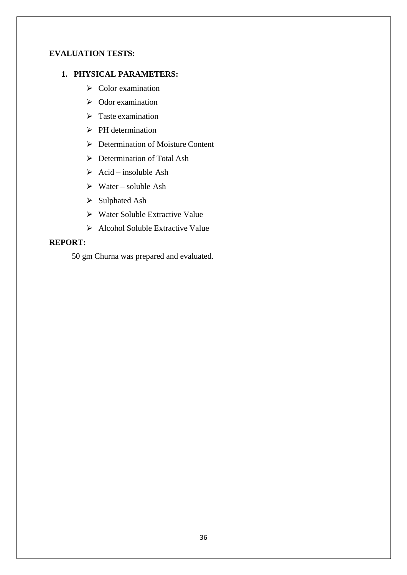# **EVALUATION TESTS:**

# **1. PHYSICAL PARAMETERS:**

- $\triangleright$  Color examination
- $\geqslant$  Odor examination
- $\triangleright$  Taste examination
- $\triangleright$  PH determination
- $\triangleright$  Determination of Moisture Content
- ▶ Determination of Total Ash
- $\triangleright$  Acid insoluble Ash
- $\triangleright$  Water soluble Ash
- $\triangleright$  Sulphated Ash
- $\triangleright$  Water Soluble Extractive Value
- $\triangleright$  Alcohol Soluble Extractive Value

# **REPORT:**

50 gm Churna was prepared and evaluated.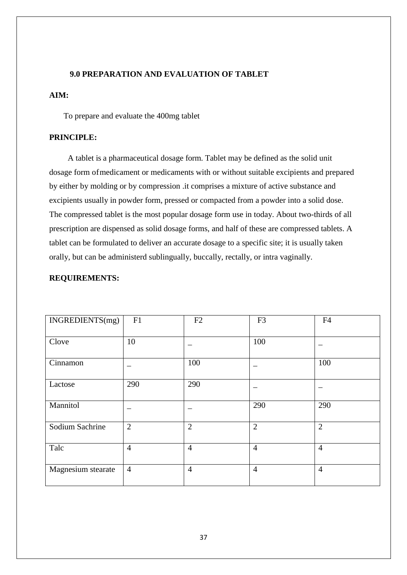### **9.0 PREPARATION AND EVALUATION OF TABLET**

# **AIM:**

To prepare and evaluate the 400mg tablet

## **PRINCIPLE:**

A tablet is a pharmaceutical dosage form. Tablet may be defined as the solid unit dosage form ofmedicament or medicaments with or without suitable excipients and prepared by either by molding or by compression .it comprises a mixture of active substance and excipients usually in powder form, pressed or compacted from a powder into a solid dose. The compressed tablet is the most popular dosage form use in today. About two-thirds of all prescription are dispensed as solid dosage forms, and half of these are compressed tablets. A tablet can be formulated to deliver an accurate dosage to a specific site; it is usually taken orally, but can be administerd sublingually, buccally, rectally, or intra vaginally.

### **REQUIREMENTS:**

| INGREDIENTS(mg)    | F1             | F2             | F <sub>3</sub> | F <sub>4</sub> |
|--------------------|----------------|----------------|----------------|----------------|
| Clove              | 10             |                | 100            |                |
| Cinnamon           |                | 100            |                | 100            |
| Lactose            | 290            | 290            |                |                |
| Mannitol           |                |                | 290            | 290            |
| Sodium Sachrine    | $\overline{2}$ | $\overline{2}$ | $\overline{2}$ | $\overline{2}$ |
| Talc               | $\overline{4}$ | $\overline{4}$ | $\overline{4}$ | $\overline{4}$ |
| Magnesium stearate | $\overline{4}$ | $\overline{4}$ | $\overline{4}$ | $\overline{4}$ |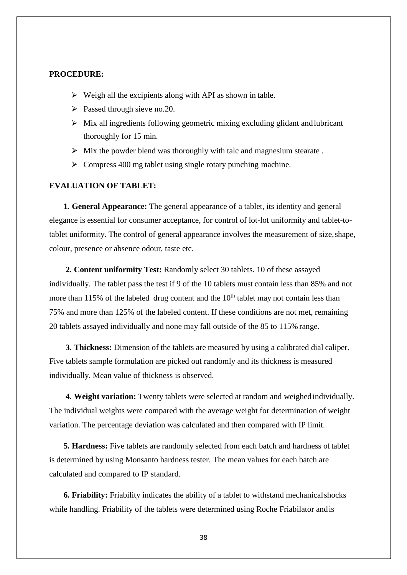### **PROCEDURE:**

- $\triangleright$  Weigh all the excipients along with API as shown in table.
- $\triangleright$  Passed through sieve no.20.
- $\triangleright$  Mix all ingredients following geometric mixing excluding glidant and lubricant thoroughly for 15 min.
- $\triangleright$  Mix the powder blend was thoroughly with talc and magnesium stearate.
- $\geq$  Compress 400 mg tablet using single rotary punching machine.

# **EVALUATION OF TABLET:**

**1. General Appearance:** The general appearance of a tablet, its identity and general elegance is essential for consumer acceptance, for control of lot-lot uniformity and tablet-totablet uniformity. The control of general appearance involves the measurement of size,shape, colour, presence or absence odour, taste etc.

**2. Content uniformity Test:** Randomly select 30 tablets. 10 of these assayed individually. The tablet pass the test if 9 of the 10 tablets must contain less than 85% and not more than 115% of the labeled drug content and the  $10<sup>th</sup>$  tablet may not contain less than 75% and more than 125% of the labeled content. If these conditions are not met, remaining 20 tablets assayed individually and none may fall outside of the 85 to 115% range.

**3. Thickness:** Dimension of the tablets are measured by using a calibrated dial caliper. Five tablets sample formulation are picked out randomly and its thickness is measured individually. Mean value of thickness is observed.

**4. Weight variation:** Twenty tablets were selected at random and weighedindividually. The individual weights were compared with the average weight for determination of weight variation. The percentage deviation was calculated and then compared with IP limit.

**5. Hardness:** Five tablets are randomly selected from each batch and hardness oftablet is determined by using Monsanto hardness tester. The mean values for each batch are calculated and compared to IP standard.

**6. Friability:** Friability indicates the ability of a tablet to withstand mechanicalshocks while handling. Friability of the tablets were determined using Roche Friabilator andis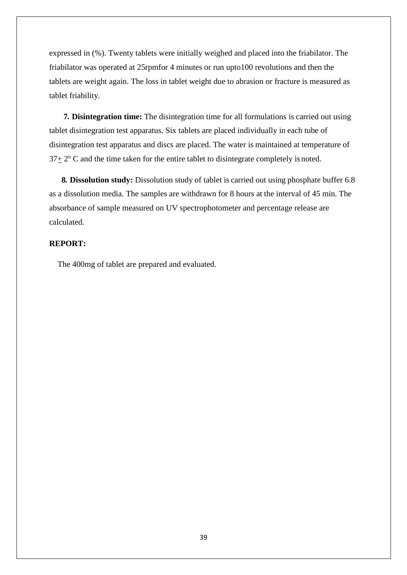expressed in (%). Twenty tablets were initially weighed and placed into the friabilator. The friabilator was operated at 25rpmfor 4 minutes or run upto100 revolutions and then the tablets are weight again. The loss in tablet weight due to abrasion or fracture is measured as tablet friability.

**7. Disintegration time:** The disintegration time for all formulations is carried out using tablet disintegration test apparatus. Six tablets are placed individually in each tube of disintegration test apparatus and discs are placed. The water is maintained at temperature of  $37\pm 2^{\circ}$  C and the time taken for the entire tablet to disintegrate completely is noted.

**8. Dissolution study:** Dissolution study of tablet is carried out using phosphate buffer 6.8 as a dissolution media. The samples are withdrawn for 8 hours at the interval of 45 min. The absorbance of sample measured on UV spectrophotometer and percentage release are calculated.

## **REPORT:**

The 400mg of tablet are prepared and evaluated.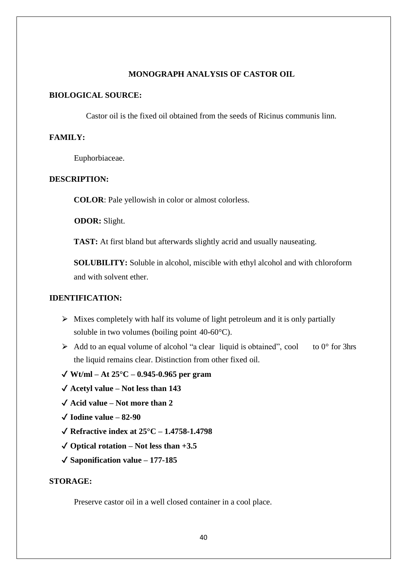### **MONOGRAPH ANALYSIS OF CASTOR OIL**

# **BIOLOGICAL SOURCE:**

Castor oil is the fixed oil obtained from the seeds of Ricinus communis linn.

## **FAMILY:**

Euphorbiaceae.

### **DESCRIPTION:**

**COLOR**: Pale yellowish in color or almost colorless.

**ODOR:** Slight.

**TAST:** At first bland but afterwards slightly acrid and usually nauseating.

**SOLUBILITY:** Soluble in alcohol, miscible with ethyl alcohol and with chloroform and with solvent ether.

## **IDENTIFICATION:**

- $\triangleright$  Mixes completely with half its volume of light petroleum and it is only partially soluble in two volumes (boiling point 40-60°C).
- $\triangleright$  Add to an equal volume of alcohol "a clear liquid is obtained", cool to 0° for 3hrs the liquid remains clear. Distinction from other fixed oil.
- ✔ **Wt/ml – At 25°C – 0.945-0.965 per gram**
- ✔ **Acetyl value – Not less than 143**
- ✔ **Acid value – Not more than 2**
- ✔ **Iodine value – 82-90**
- ✔ **Refractive index at 25°C – 1.4758-1.4798**
- ✔ **Optical rotation – Not less than +3.5**
- ✔ **Saponification value – 177-185**

### **STORAGE:**

Preserve castor oil in a well closed container in a cool place.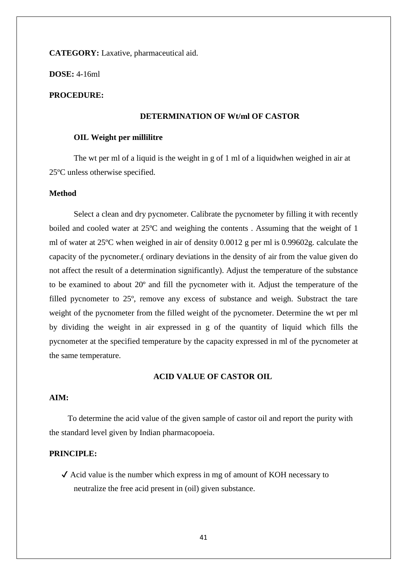**CATEGORY:** Laxative, pharmaceutical aid.

**DOSE:** 4-16ml

## **PROCEDURE:**

## **DETERMINATION OF Wt/ml OF CASTOR**

### **OIL Weight per millilitre**

The wt per ml of a liquid is the weight in g of 1 ml of a liquidwhen weighed in air at 25ºC unless otherwise specified.

## **Method**

Select a clean and dry pycnometer. Calibrate the pycnometer by filling it with recently boiled and cooled water at 25ºC and weighing the contents . Assuming that the weight of 1 ml of water at 25ºC when weighed in air of density 0.0012 g per ml is 0.99602g. calculate the capacity of the pycnometer.( ordinary deviations in the density of air from the value given do not affect the result of a determination significantly). Adjust the temperature of the substance to be examined to about 20º and fill the pycnometer with it. Adjust the temperature of the filled pycnometer to 25º, remove any excess of substance and weigh. Substract the tare weight of the pycnometer from the filled weight of the pycnometer. Determine the wt per ml by dividing the weight in air expressed in g of the quantity of liquid which fills the pycnometer at the specified temperature by the capacity expressed in ml of the pycnometer at the same temperature.

### **ACID VALUE OF CASTOR OIL**

## **AIM:**

To determine the acid value of the given sample of castor oil and report the purity with the standard level given by Indian pharmacopoeia.

### **PRINCIPLE:**

 $\checkmark$  Acid value is the number which express in mg of amount of KOH necessary to neutralize the free acid present in (oil) given substance.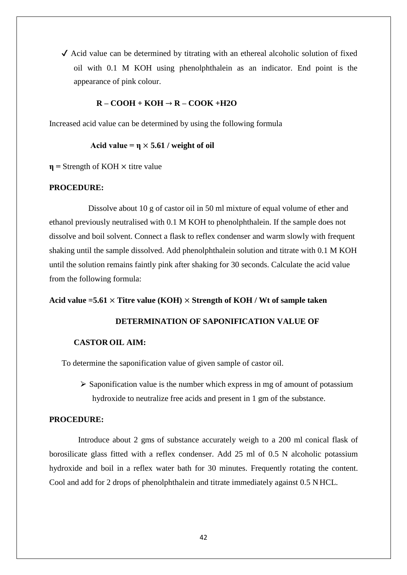$\checkmark$  Acid value can be determined by titrating with an ethereal alcoholic solution of fixed oil with 0.1 M KOH using phenolphthalein as an indicator. End point is the appearance of pink colour.

# **R – COOH + KOH** → **R – COOK +H2O**

Increased acid value can be determined by using the following formula

### Acid value =  $\eta \times 5.61$  / weight of oil

 $\eta$  = Strength of KOH  $\times$  titre value

## **PROCEDURE:**

Dissolve about 10 g of castor oil in 50 ml mixture of equal volume of ether and ethanol previously neutralised with 0.1 M KOH to phenolphthalein. If the sample does not dissolve and boil solvent. Connect a flask to reflex condenser and warm slowly with frequent shaking until the sample dissolved. Add phenolphthalein solution and titrate with 0.1 M KOH until the solution remains faintly pink after shaking for 30 seconds. Calculate the acid value from the following formula:

### **Acid value =5.61** × **Titre value (KOH)** × **Strength of KOH / Wt of sample taken**

## **DETERMINATION OF SAPONIFICATION VALUE OF**

### **CASTOR OIL AIM:**

To determine the saponification value of given sample of castor oil.

 $\triangleright$  Saponification value is the number which express in mg of amount of potassium hydroxide to neutralize free acids and present in 1 gm of the substance.

## **PROCEDURE:**

Introduce about 2 gms of substance accurately weigh to a 200 ml conical flask of borosilicate glass fitted with a reflex condenser. Add 25 ml of 0.5 N alcoholic potassium hydroxide and boil in a reflex water bath for 30 minutes. Frequently rotating the content. Cool and add for 2 drops of phenolphthalein and titrate immediately against 0.5 N HCL.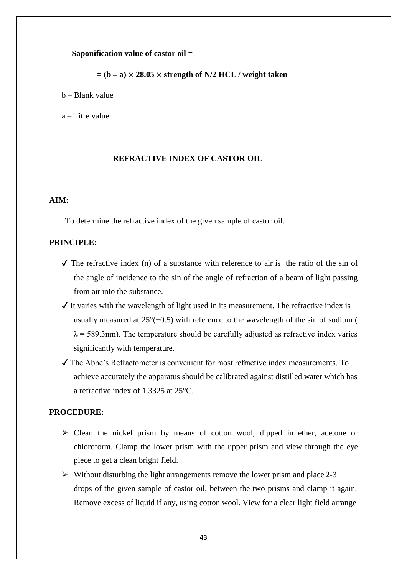### **Saponification value of castor oil =**

 $=$   $(b - a) \times 28.05 \times$  strength of N/2 HCL / weight taken

b – Blank value

a – Titre value

### **REFRACTIVE INDEX OF CASTOR OIL**

# **AIM:**

To determine the refractive index of the given sample of castor oil.

### **PRINCIPLE:**

- $\checkmark$  The refractive index (n) of a substance with reference to air is the ratio of the sin of the angle of incidence to the sin of the angle of refraction of a beam of light passing from air into the substance.
- $\checkmark$  It varies with the wavelength of light used in its measurement. The refractive index is usually measured at  $25^{\circ}(\pm 0.5)$  with reference to the wavelength of the sin of sodium (  $\lambda$  = 589.3nm). The temperature should be carefully adjusted as refractive index varies significantly with temperature.
- ✔ The Abbe's Refractometer is convenient for most refractive index measurements. To achieve accurately the apparatus should be calibrated against distilled water which has a refractive index of 1.3325 at 25°C.

## **PROCEDURE:**

- $\triangleright$  Clean the nickel prism by means of cotton wool, dipped in ether, acetone or chloroform. Clamp the lower prism with the upper prism and view through the eye piece to get a clean bright field.
- $\triangleright$  Without disturbing the light arrangements remove the lower prism and place 2-3 drops of the given sample of castor oil, between the two prisms and clamp it again. Remove excess of liquid if any, using cotton wool. View for a clear light field arrange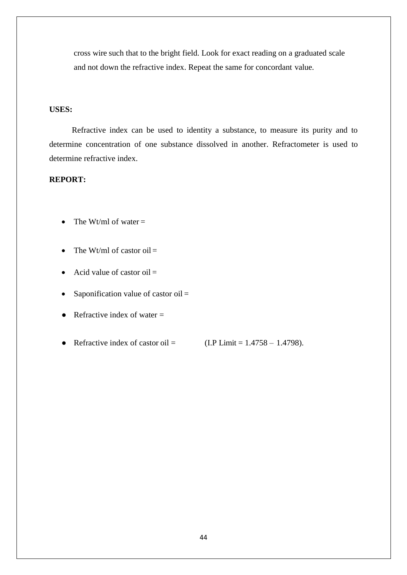cross wire such that to the bright field. Look for exact reading on a graduated scale and not down the refractive index. Repeat the same for concordant value.

### **USES:**

Refractive index can be used to identity a substance, to measure its purity and to determine concentration of one substance dissolved in another. Refractometer is used to determine refractive index.

# **REPORT:**

- The Wt/ml of water  $=$
- The Wt/ml of castor oil  $=$
- Acid value of castor oil  $=$
- Saponification value of castor oil  $=$
- Refractive index of water  $=$
- Refractive index of castor oil =  $(LP \text{ Limit} = 1.4758 1.4798).$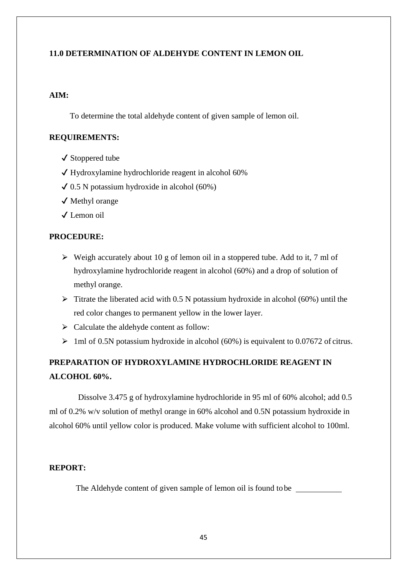# **11.0 DETERMINATION OF ALDEHYDE CONTENT IN LEMON OIL**

# **AIM:**

To determine the total aldehyde content of given sample of lemon oil.

## **REQUIREMENTS:**

- ✔ Stoppered tube
- ✔ Hydroxylamine hydrochloride reagent in alcohol 60%
- $\checkmark$  0.5 N potassium hydroxide in alcohol (60%)
- ✔ Methyl orange
- ✔ Lemon oil

## **PROCEDURE:**

- $\triangleright$  Weigh accurately about 10 g of lemon oil in a stoppered tube. Add to it, 7 ml of hydroxylamine hydrochloride reagent in alcohol (60%) and a drop of solution of methyl orange.
- $\triangleright$  Titrate the liberated acid with 0.5 N potassium hydroxide in alcohol (60%) until the red color changes to permanent yellow in the lower layer.
- $\triangleright$  Calculate the aldehyde content as follow:
- $\geq 1$ ml of 0.5N potassium hydroxide in alcohol (60%) is equivalent to 0.07672 of citrus.

# **PREPARATION OF HYDROXYLAMINE HYDROCHLORIDE REAGENT IN ALCOHOL 60%.**

Dissolve 3.475 g of hydroxylamine hydrochloride in 95 ml of 60% alcohol; add 0.5 ml of 0.2% w/v solution of methyl orange in 60% alcohol and 0.5N potassium hydroxide in alcohol 60% until yellow color is produced. Make volume with sufficient alcohol to 100ml.

### **REPORT:**

The Aldehyde content of given sample of lemon oil is found to be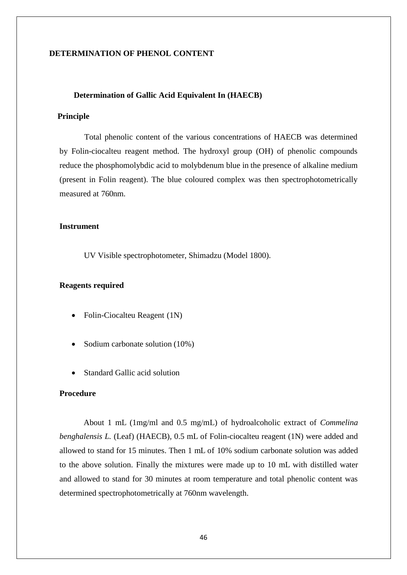## **DETERMINATION OF PHENOL CONTENT**

### **Determination of Gallic Acid Equivalent In (HAECB)**

## **Principle**

Total phenolic content of the various concentrations of HAECB was determined by Folin-ciocalteu reagent method. The hydroxyl group (OH) of phenolic compounds reduce the phosphomolybdic acid to molybdenum blue in the presence of alkaline medium (present in Folin reagent). The blue coloured complex was then spectrophotometrically measured at 760nm.

### **Instrument**

UV Visible spectrophotometer, Shimadzu (Model 1800).

### **Reagents required**

- Folin-Ciocalteu Reagent (1N)
- Sodium carbonate solution (10%)
- Standard Gallic acid solution

# **Procedure**

About 1 mL (1mg/ml and 0.5 mg/mL) of hydroalcoholic extract of *Commelina benghalensis L.* (Leaf) (HAECB)*,* 0.5 mL of Folin-ciocalteu reagent (1N) were added and allowed to stand for 15 minutes. Then 1 mL of 10% sodium carbonate solution was added to the above solution. Finally the mixtures were made up to 10 mL with distilled water and allowed to stand for 30 minutes at room temperature and total phenolic content was determined spectrophotometrically at 760nm wavelength.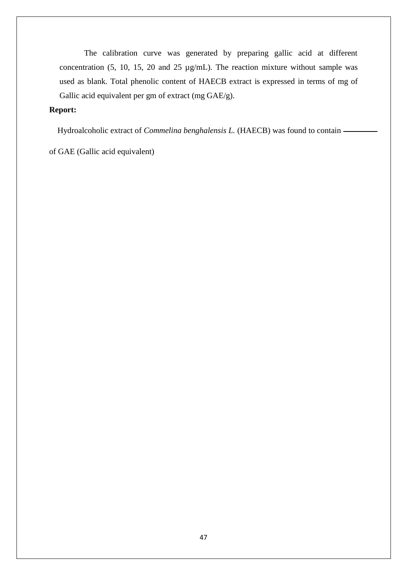The calibration curve was generated by preparing gallic acid at different concentration (5, 10, 15, 20 and 25 µg/mL). The reaction mixture without sample was used as blank. Total phenolic content of HAECB extract is expressed in terms of mg of Gallic acid equivalent per gm of extract (mg GAE/g).

# **Report:**

Hydroalcoholic extract of *Commelina benghalensis L.* (HAECB) was found to contain -

of GAE (Gallic acid equivalent)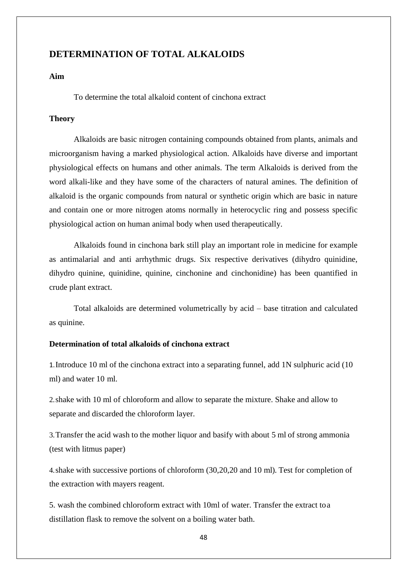# **DETERMINATION OF TOTAL ALKALOIDS**

### **Aim**

To determine the total alkaloid content of cinchona extract

### **Theory**

Alkaloids are basic nitrogen containing compounds obtained from plants, animals and microorganism having a marked physiological action. Alkaloids have diverse and important physiological effects on humans and other animals. The term Alkaloids is derived from the word alkali-like and they have some of the characters of natural amines. The definition of alkaloid is the organic compounds from natural or synthetic origin which are basic in nature and contain one or more nitrogen atoms normally in heterocyclic ring and possess specific physiological action on human animal body when used therapeutically.

Alkaloids found in cinchona bark still play an important role in medicine for example as antimalarial and anti arrhythmic drugs. Six respective derivatives (dihydro quinidine, dihydro quinine, quinidine, quinine, cinchonine and cinchonidine) has been quantified in crude plant extract.

Total alkaloids are determined volumetrically by acid – base titration and calculated as quinine.

## **Determination of total alkaloids of cinchona extract**

1.Introduce 10 ml of the cinchona extract into a separating funnel, add 1N sulphuric acid (10 ml) and water 10 ml.

2.shake with 10 ml of chloroform and allow to separate the mixture. Shake and allow to separate and discarded the chloroform layer.

3.Transfer the acid wash to the mother liquor and basify with about 5 ml of strong ammonia (test with litmus paper)

4.shake with successive portions of chloroform (30,20,20 and 10 ml). Test for completion of the extraction with mayers reagent.

5. wash the combined chloroform extract with 10ml of water. Transfer the extract toa distillation flask to remove the solvent on a boiling water bath.